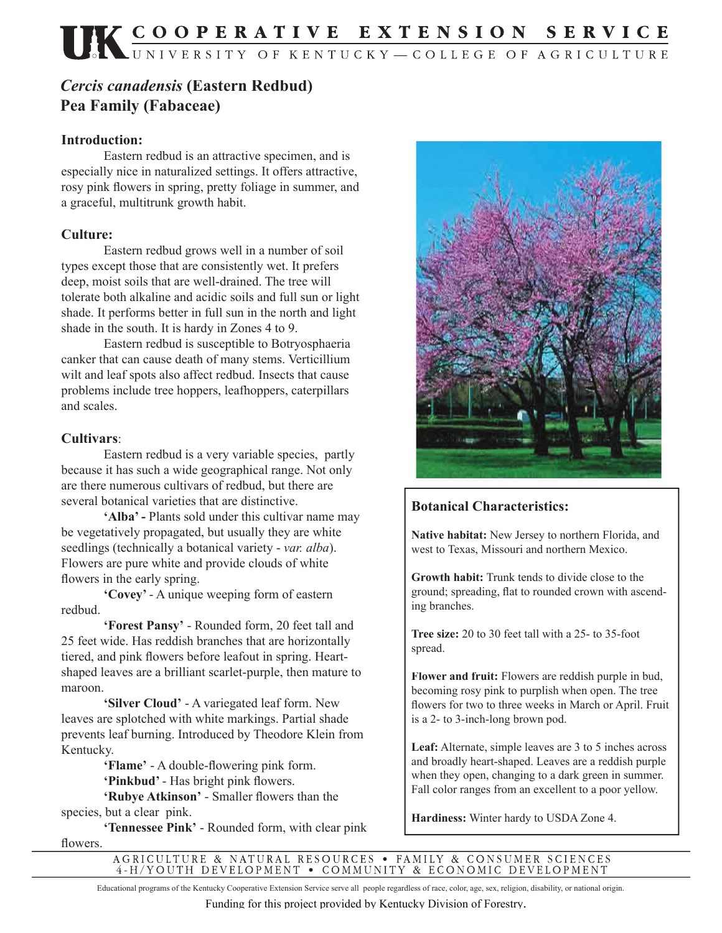# *Cercis canadensis* **(Eastern Redbud) Pea Family (Fabaceae)**

### **Introduction:**

 Eastern redbud is an attractive specimen, and is especially nice in naturalized settings. It offers attractive, rosy pink flowers in spring, pretty foliage in summer, and a graceful, multitrunk growth habit.

### **Culture:**

 Eastern redbud grows well in a number of soil types except those that are consistently wet. It prefers deep, moist soils that are well-drained. The tree will tolerate both alkaline and acidic soils and full sun or light shade. It performs better in full sun in the north and light shade in the south. It is hardy in Zones 4 to 9.

 Eastern redbud is susceptible to Botryosphaeria canker that can cause death of many stems. Verticillium wilt and leaf spots also affect redbud. Insects that cause problems include tree hoppers, leafhoppers, caterpillars and scales.

## **Cultivars**:

 Eastern redbud is a very variable species, partly because it has such a wide geographical range. Not only are there numerous cultivars of redbud, but there are several botanical varieties that are distinctive.

**'Alba' -** Plants sold under this cultivar name may be vegetatively propagated, but usually they are white seedlings (technically a botanical variety - *var. alba*). Flowers are pure white and provide clouds of white flowers in the early spring.

 **'Covey'** - A unique weeping form of eastern redbud.

 **'Forest Pansy'** - Rounded form, 20 feet tall and 25 feet wide. Has reddish branches that are horizontally tiered, and pink flowers before leafout in spring. Heartshaped leaves are a brilliant scarlet-purple, then mature to maroon.

 **'Silver Cloud'** - A variegated leaf form. New leaves are splotched with white markings. Partial shade prevents leaf burning. Introduced by Theodore Klein from Kentucky.

> **'Flame'** - A double-flowering pink form. 'Pinkbud' - Has bright pink flowers.

'Rubye Atkinson' - Smaller flowers than the species, but a clear pink.

 **'Tennessee Pink'** - Rounded form, with clear pink flowers.



## **Botanical Characteristics:**

**Native habitat:** New Jersey to northern Florida, and west to Texas, Missouri and northern Mexico.

**Growth habit:** Trunk tends to divide close to the ground; spreading, flat to rounded crown with ascending branches.

**Tree size:** 20 to 30 feet tall with a 25- to 35-foot spread.

**Flower and fruit:** Flowers are reddish purple in bud, becoming rosy pink to purplish when open. The tree flowers for two to three weeks in March or April. Fruit is a 2- to 3-inch-long brown pod.

**Leaf:** Alternate, simple leaves are 3 to 5 inches across and broadly heart-shaped. Leaves are a reddish purple when they open, changing to a dark green in summer. Fall color ranges from an excellent to a poor yellow.

**Hardiness:** Winter hardy to USDA Zone 4.

AGRICULTURE & NATURAL RESOURCES • FAMILY & CONSUMER SCIENCES 4-H/YOUTH DEVELOPMENT • COMMUNITY & ECONOMIC DEVELOPMENT

Educational programs of the Kentucky Cooperative Extension Service serve all people regardless of race, color, age, sex, religion, disability, or national origin.

Funding for this project provided by Kentucky Division of Forestry.